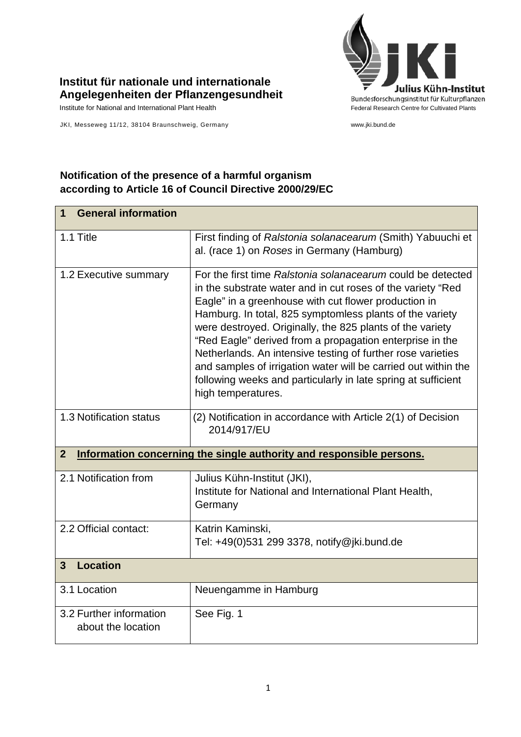

## **Institut für nationale und internationale Angelegenheiten der Pflanzengesundheit**

JKI, Messeweg 11/12, 38104 Braunschweig, Germany www.jki.bund.de

## **Notification of the presence of a harmful organism according to Article 16 of Council Directive 2000/29/EC**

| <b>General information</b><br>1                                                        |                                                                                                                                                                                                                                                                                                                                                                                                                                                                                                                                                                                                 |  |
|----------------------------------------------------------------------------------------|-------------------------------------------------------------------------------------------------------------------------------------------------------------------------------------------------------------------------------------------------------------------------------------------------------------------------------------------------------------------------------------------------------------------------------------------------------------------------------------------------------------------------------------------------------------------------------------------------|--|
| 1.1 Title                                                                              | First finding of Ralstonia solanacearum (Smith) Yabuuchi et<br>al. (race 1) on Roses in Germany (Hamburg)                                                                                                                                                                                                                                                                                                                                                                                                                                                                                       |  |
| 1.2 Executive summary                                                                  | For the first time Ralstonia solanacearum could be detected<br>in the substrate water and in cut roses of the variety "Red<br>Eagle" in a greenhouse with cut flower production in<br>Hamburg. In total, 825 symptomless plants of the variety<br>were destroyed. Originally, the 825 plants of the variety<br>"Red Eagle" derived from a propagation enterprise in the<br>Netherlands. An intensive testing of further rose varieties<br>and samples of irrigation water will be carried out within the<br>following weeks and particularly in late spring at sufficient<br>high temperatures. |  |
| 1.3 Notification status                                                                | (2) Notification in accordance with Article 2(1) of Decision<br>2014/917/EU                                                                                                                                                                                                                                                                                                                                                                                                                                                                                                                     |  |
| $\overline{2}$<br>Information concerning the single authority and responsible persons. |                                                                                                                                                                                                                                                                                                                                                                                                                                                                                                                                                                                                 |  |
| 2.1 Notification from                                                                  | Julius Kühn-Institut (JKI),<br>Institute for National and International Plant Health,<br>Germany                                                                                                                                                                                                                                                                                                                                                                                                                                                                                                |  |
| 2.2 Official contact:                                                                  | Katrin Kaminski,<br>Tel: +49(0)531 299 3378, notify@jki.bund.de                                                                                                                                                                                                                                                                                                                                                                                                                                                                                                                                 |  |
| <b>Location</b><br>3                                                                   |                                                                                                                                                                                                                                                                                                                                                                                                                                                                                                                                                                                                 |  |
| 3.1 Location                                                                           | Neuengamme in Hamburg                                                                                                                                                                                                                                                                                                                                                                                                                                                                                                                                                                           |  |
| 3.2 Further information<br>about the location                                          | See Fig. 1                                                                                                                                                                                                                                                                                                                                                                                                                                                                                                                                                                                      |  |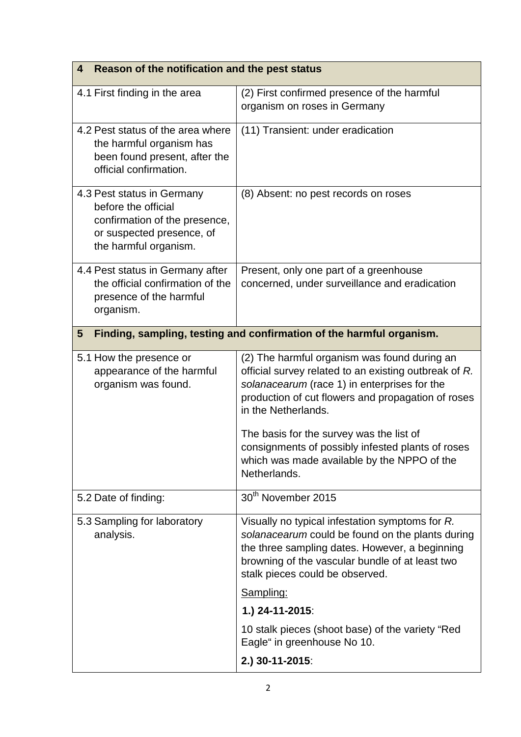| Reason of the notification and the pest status<br>4                                                                                      |                                                                                                                                                                                                                                                                                                                                                                                                    |  |
|------------------------------------------------------------------------------------------------------------------------------------------|----------------------------------------------------------------------------------------------------------------------------------------------------------------------------------------------------------------------------------------------------------------------------------------------------------------------------------------------------------------------------------------------------|--|
| 4.1 First finding in the area                                                                                                            | (2) First confirmed presence of the harmful<br>organism on roses in Germany                                                                                                                                                                                                                                                                                                                        |  |
| 4.2 Pest status of the area where<br>the harmful organism has<br>been found present, after the<br>official confirmation.                 | (11) Transient: under eradication                                                                                                                                                                                                                                                                                                                                                                  |  |
| 4.3 Pest status in Germany<br>before the official<br>confirmation of the presence,<br>or suspected presence, of<br>the harmful organism. | (8) Absent: no pest records on roses                                                                                                                                                                                                                                                                                                                                                               |  |
| 4.4 Pest status in Germany after<br>the official confirmation of the<br>presence of the harmful<br>organism.                             | Present, only one part of a greenhouse<br>concerned, under surveillance and eradication                                                                                                                                                                                                                                                                                                            |  |
| Finding, sampling, testing and confirmation of the harmful organism.<br>5                                                                |                                                                                                                                                                                                                                                                                                                                                                                                    |  |
| 5.1 How the presence or<br>appearance of the harmful<br>organism was found.                                                              | (2) The harmful organism was found during an<br>official survey related to an existing outbreak of R.<br>solanacearum (race 1) in enterprises for the<br>production of cut flowers and propagation of roses<br>in the Netherlands.<br>The basis for the survey was the list of<br>consignments of possibly infested plants of roses<br>which was made available by the NPPO of the<br>Netherlands. |  |
| 5.2 Date of finding:                                                                                                                     | 30 <sup>th</sup> November 2015                                                                                                                                                                                                                                                                                                                                                                     |  |
| 5.3 Sampling for laboratory<br>analysis.                                                                                                 | Visually no typical infestation symptoms for R.<br>solanacearum could be found on the plants during<br>the three sampling dates. However, a beginning<br>browning of the vascular bundle of at least two<br>stalk pieces could be observed.                                                                                                                                                        |  |
|                                                                                                                                          | Sampling:<br>1.) 24-11-2015:                                                                                                                                                                                                                                                                                                                                                                       |  |
|                                                                                                                                          | 10 stalk pieces (shoot base) of the variety "Red<br>Eagle" in greenhouse No 10.                                                                                                                                                                                                                                                                                                                    |  |
|                                                                                                                                          | 2.) 30-11-2015:                                                                                                                                                                                                                                                                                                                                                                                    |  |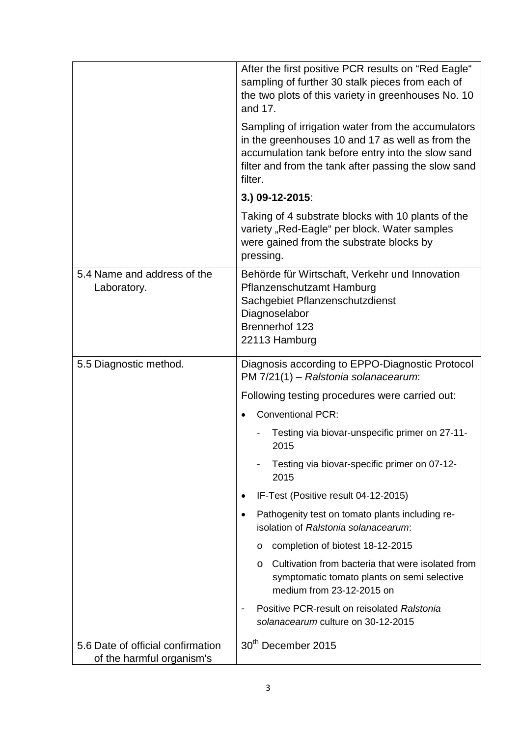|                                                                | After the first positive PCR results on "Red Eagle"<br>sampling of further 30 stalk pieces from each of<br>the two plots of this variety in greenhouses No. 10<br>and 17.                                                      |
|----------------------------------------------------------------|--------------------------------------------------------------------------------------------------------------------------------------------------------------------------------------------------------------------------------|
|                                                                | Sampling of irrigation water from the accumulators<br>in the greenhouses 10 and 17 as well as from the<br>accumulation tank before entry into the slow sand<br>filter and from the tank after passing the slow sand<br>filter. |
|                                                                | 3.) 09-12-2015:                                                                                                                                                                                                                |
|                                                                | Taking of 4 substrate blocks with 10 plants of the<br>variety "Red-Eagle" per block. Water samples<br>were gained from the substrate blocks by<br>pressing.                                                                    |
| 5.4 Name and address of the<br>Laboratory.                     | Behörde für Wirtschaft, Verkehr und Innovation<br>Pflanzenschutzamt Hamburg<br>Sachgebiet Pflanzenschutzdienst<br>Diagnoselabor<br>Brennerhof 123<br>22113 Hamburg                                                             |
| 5.5 Diagnostic method.                                         | Diagnosis according to EPPO-Diagnostic Protocol<br>PM 7/21(1) - Ralstonia solanacearum:                                                                                                                                        |
|                                                                | Following testing procedures were carried out:                                                                                                                                                                                 |
|                                                                | <b>Conventional PCR:</b>                                                                                                                                                                                                       |
|                                                                | Testing via biovar-unspecific primer on 27-11-<br>2015                                                                                                                                                                         |
|                                                                | Testing via biovar-specific primer on 07-12-<br>2015                                                                                                                                                                           |
|                                                                | IF-Test (Positive result 04-12-2015)                                                                                                                                                                                           |
|                                                                | Pathogenity test on tomato plants including re-<br>$\bullet$<br>isolation of Ralstonia solanacearum:                                                                                                                           |
|                                                                | completion of biotest 18-12-2015<br>$\circ$                                                                                                                                                                                    |
|                                                                | Cultivation from bacteria that were isolated from<br>$\circ$<br>symptomatic tomato plants on semi selective<br>medium from 23-12-2015 on                                                                                       |
|                                                                | Positive PCR-result on reisolated Ralstonia<br>solanacearum culture on 30-12-2015                                                                                                                                              |
| 5.6 Date of official confirmation<br>of the harmful organism's | 30 <sup>th</sup> December 2015                                                                                                                                                                                                 |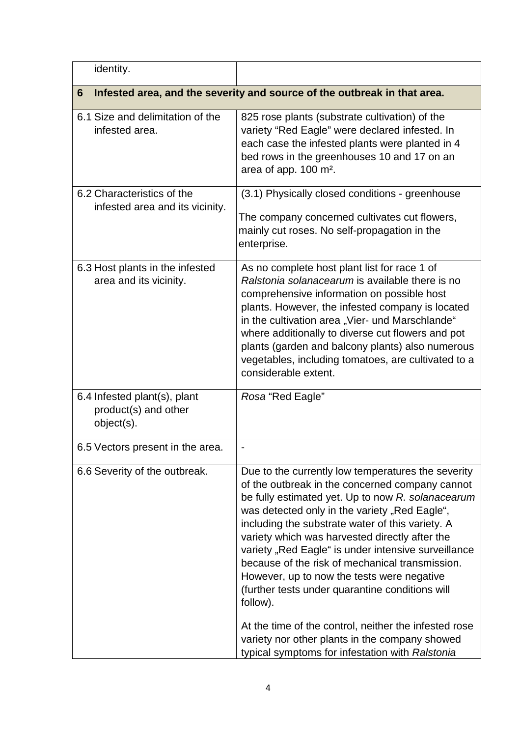| identity.                                                                     |                                                                                                                                                                                                                                                                                                                                                                                                                                                                                                                                                                                                                                                                                                        |  |
|-------------------------------------------------------------------------------|--------------------------------------------------------------------------------------------------------------------------------------------------------------------------------------------------------------------------------------------------------------------------------------------------------------------------------------------------------------------------------------------------------------------------------------------------------------------------------------------------------------------------------------------------------------------------------------------------------------------------------------------------------------------------------------------------------|--|
| Infested area, and the severity and source of the outbreak in that area.<br>6 |                                                                                                                                                                                                                                                                                                                                                                                                                                                                                                                                                                                                                                                                                                        |  |
| 6.1 Size and delimitation of the<br>infested area.                            | 825 rose plants (substrate cultivation) of the<br>variety "Red Eagle" were declared infested. In<br>each case the infested plants were planted in 4<br>bed rows in the greenhouses 10 and 17 on an<br>area of app. 100 m <sup>2</sup> .                                                                                                                                                                                                                                                                                                                                                                                                                                                                |  |
| 6.2 Characteristics of the<br>infested area and its vicinity.                 | (3.1) Physically closed conditions - greenhouse<br>The company concerned cultivates cut flowers,<br>mainly cut roses. No self-propagation in the<br>enterprise.                                                                                                                                                                                                                                                                                                                                                                                                                                                                                                                                        |  |
| 6.3 Host plants in the infested<br>area and its vicinity.                     | As no complete host plant list for race 1 of<br>Ralstonia solanacearum is available there is no<br>comprehensive information on possible host<br>plants. However, the infested company is located<br>in the cultivation area "Vier- und Marschlande"<br>where additionally to diverse cut flowers and pot<br>plants (garden and balcony plants) also numerous<br>vegetables, including tomatoes, are cultivated to a<br>considerable extent.                                                                                                                                                                                                                                                           |  |
| 6.4 Infested plant(s), plant<br>product(s) and other<br>object(s).            | Rosa "Red Eagle"                                                                                                                                                                                                                                                                                                                                                                                                                                                                                                                                                                                                                                                                                       |  |
| 6.5 Vectors present in the area.                                              |                                                                                                                                                                                                                                                                                                                                                                                                                                                                                                                                                                                                                                                                                                        |  |
| 6.6 Severity of the outbreak.                                                 | Due to the currently low temperatures the severity<br>of the outbreak in the concerned company cannot<br>be fully estimated yet. Up to now R. solanacearum<br>was detected only in the variety "Red Eagle",<br>including the substrate water of this variety. A<br>variety which was harvested directly after the<br>variety "Red Eagle" is under intensive surveillance<br>because of the risk of mechanical transmission.<br>However, up to now the tests were negative<br>(further tests under quarantine conditions will<br>follow).<br>At the time of the control, neither the infested rose<br>variety nor other plants in the company showed<br>typical symptoms for infestation with Ralstonia |  |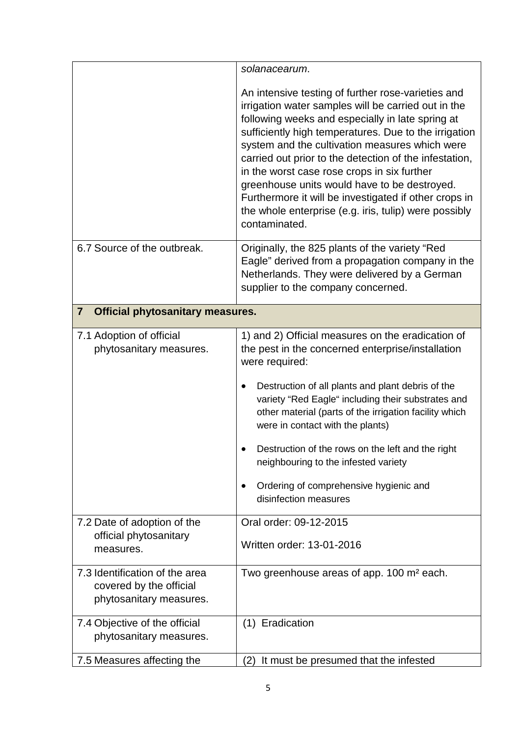|                                                                                      | solanacearum.                                                                                                                                                                                                                                                                                                                                                                                                                                                                                                                                                        |  |
|--------------------------------------------------------------------------------------|----------------------------------------------------------------------------------------------------------------------------------------------------------------------------------------------------------------------------------------------------------------------------------------------------------------------------------------------------------------------------------------------------------------------------------------------------------------------------------------------------------------------------------------------------------------------|--|
|                                                                                      | An intensive testing of further rose-varieties and<br>irrigation water samples will be carried out in the<br>following weeks and especially in late spring at<br>sufficiently high temperatures. Due to the irrigation<br>system and the cultivation measures which were<br>carried out prior to the detection of the infestation,<br>in the worst case rose crops in six further<br>greenhouse units would have to be destroyed.<br>Furthermore it will be investigated if other crops in<br>the whole enterprise (e.g. iris, tulip) were possibly<br>contaminated. |  |
| 6.7 Source of the outbreak.                                                          | Originally, the 825 plants of the variety "Red<br>Eagle" derived from a propagation company in the<br>Netherlands. They were delivered by a German<br>supplier to the company concerned.                                                                                                                                                                                                                                                                                                                                                                             |  |
| <b>Official phytosanitary measures.</b><br>$\overline{7}$                            |                                                                                                                                                                                                                                                                                                                                                                                                                                                                                                                                                                      |  |
| 7.1 Adoption of official<br>phytosanitary measures.                                  | 1) and 2) Official measures on the eradication of<br>the pest in the concerned enterprise/installation<br>were required:<br>Destruction of all plants and plant debris of the<br>variety "Red Eagle" including their substrates and<br>other material (parts of the irrigation facility which<br>were in contact with the plants)<br>Destruction of the rows on the left and the right<br>neighbouring to the infested variety<br>Ordering of comprehensive hygienic and<br>٠<br>disinfection measures                                                               |  |
| 7.2 Date of adoption of the<br>official phytosanitary<br>measures.                   | Oral order: 09-12-2015<br>Written order: 13-01-2016                                                                                                                                                                                                                                                                                                                                                                                                                                                                                                                  |  |
| 7.3 Identification of the area<br>covered by the official<br>phytosanitary measures. | Two greenhouse areas of app. 100 m <sup>2</sup> each.                                                                                                                                                                                                                                                                                                                                                                                                                                                                                                                |  |
| 7.4 Objective of the official<br>phytosanitary measures.                             | (1) Eradication                                                                                                                                                                                                                                                                                                                                                                                                                                                                                                                                                      |  |
| 7.5 Measures affecting the                                                           | It must be presumed that the infested<br>(2)                                                                                                                                                                                                                                                                                                                                                                                                                                                                                                                         |  |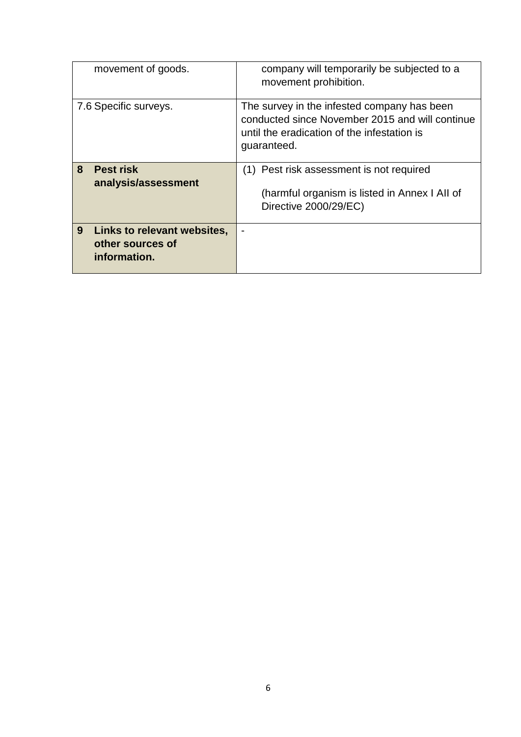| movement of goods.                                                   | company will temporarily be subjected to a<br>movement prohibition.                                                                                          |
|----------------------------------------------------------------------|--------------------------------------------------------------------------------------------------------------------------------------------------------------|
| 7.6 Specific surveys.                                                | The survey in the infested company has been<br>conducted since November 2015 and will continue<br>until the eradication of the infestation is<br>guaranteed. |
| 8<br><b>Pest risk</b><br>analysis/assessment                         | Pest risk assessment is not required<br>(1)<br>(harmful organism is listed in Annex I All of<br>Directive 2000/29/EC)                                        |
| 9<br>Links to relevant websites,<br>other sources of<br>information. |                                                                                                                                                              |